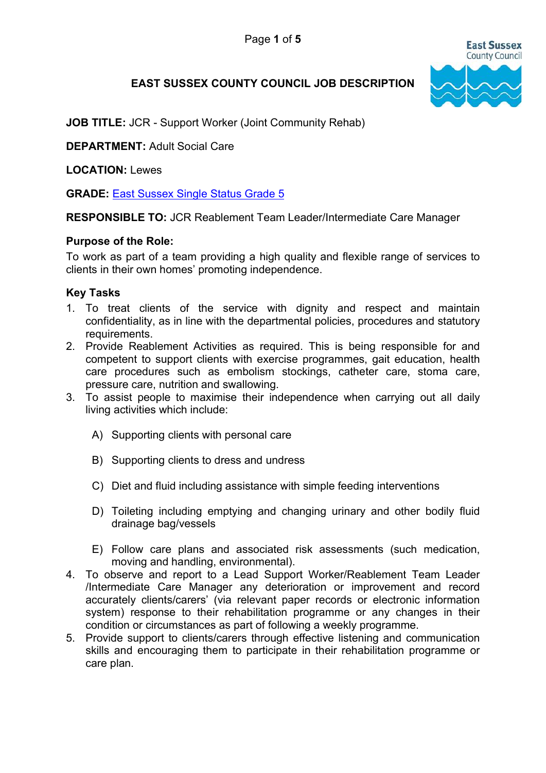

# EAST SUSSEX COUNTY COUNCIL JOB DESCRIPTION

JOB TITLE: JCR - Support Worker (Joint Community Rehab)

DEPARTMENT: Adult Social Care

LOCATION: Lewes

GRADE: East Sussex Single Status Grade 5

RESPONSIBLE TO: JCR Reablement Team Leader/Intermediate Care Manager

### Purpose of the Role:

To work as part of a team providing a high quality and flexible range of services to clients in their own homes' promoting independence.

## Key Tasks

- 1. To treat clients of the service with dignity and respect and maintain confidentiality, as in line with the departmental policies, procedures and statutory requirements.
- 2. Provide Reablement Activities as required. This is being responsible for and competent to support clients with exercise programmes, gait education, health care procedures such as embolism stockings, catheter care, stoma care, pressure care, nutrition and swallowing.
- 3. To assist people to maximise their independence when carrying out all daily living activities which include:
	- A) Supporting clients with personal care
	- B) Supporting clients to dress and undress
	- C) Diet and fluid including assistance with simple feeding interventions
	- D) Toileting including emptying and changing urinary and other bodily fluid drainage bag/vessels
	- E) Follow care plans and associated risk assessments (such medication, moving and handling, environmental).
- 4. To observe and report to a Lead Support Worker/Reablement Team Leader /Intermediate Care Manager any deterioration or improvement and record accurately clients/carers' (via relevant paper records or electronic information system) response to their rehabilitation programme or any changes in their condition or circumstances as part of following a weekly programme.
- 5. Provide support to clients/carers through effective listening and communication skills and encouraging them to participate in their rehabilitation programme or care plan.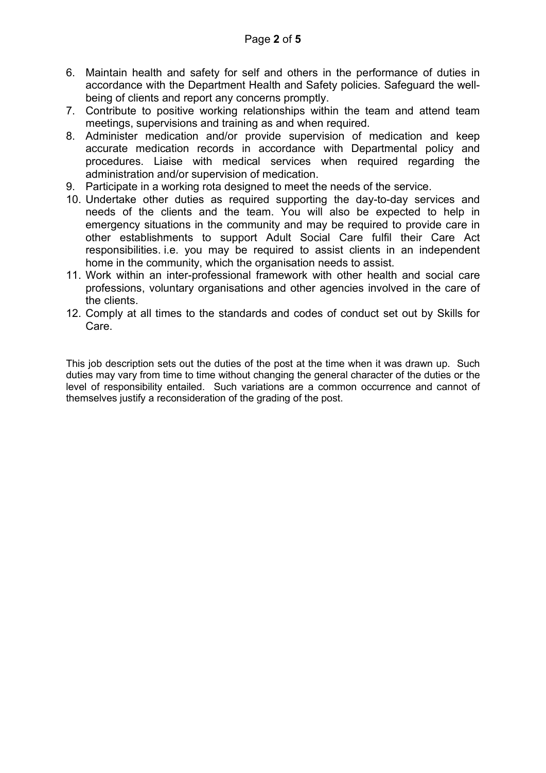- 6. Maintain health and safety for self and others in the performance of duties in accordance with the Department Health and Safety policies. Safeguard the wellbeing of clients and report any concerns promptly.
- 7. Contribute to positive working relationships within the team and attend team meetings, supervisions and training as and when required.
- 8. Administer medication and/or provide supervision of medication and keep accurate medication records in accordance with Departmental policy and procedures. Liaise with medical services when required regarding the administration and/or supervision of medication.
- 9. Participate in a working rota designed to meet the needs of the service.
- 10. Undertake other duties as required supporting the day-to-day services and needs of the clients and the team. You will also be expected to help in emergency situations in the community and may be required to provide care in other establishments to support Adult Social Care fulfil their Care Act responsibilities. i.e. you may be required to assist clients in an independent home in the community, which the organisation needs to assist.
- 11. Work within an inter-professional framework with other health and social care professions, voluntary organisations and other agencies involved in the care of the clients.
- 12. Comply at all times to the standards and codes of conduct set out by Skills for Care.

This job description sets out the duties of the post at the time when it was drawn up. Such duties may vary from time to time without changing the general character of the duties or the level of responsibility entailed. Such variations are a common occurrence and cannot of themselves justify a reconsideration of the grading of the post.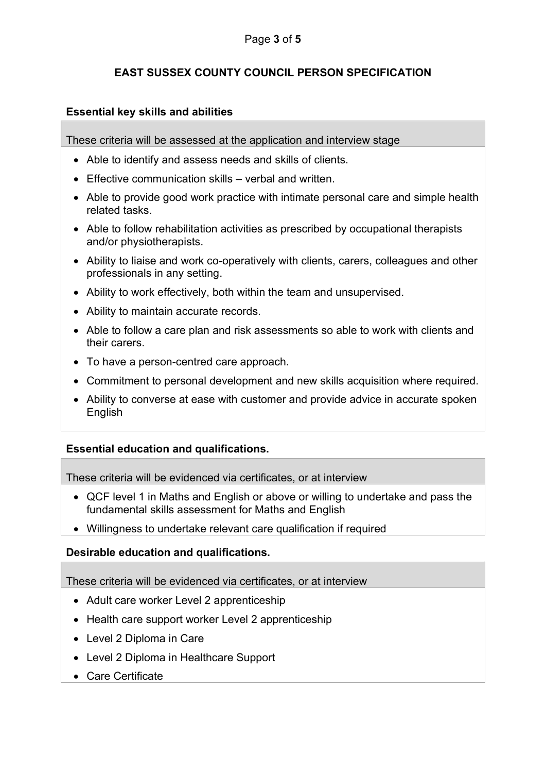# EAST SUSSEX COUNTY COUNCIL PERSON SPECIFICATION

## Essential key skills and abilities

These criteria will be assessed at the application and interview stage

- Able to identify and assess needs and skills of clients.
- Effective communication skills verbal and written.
- Able to provide good work practice with intimate personal care and simple health related tasks.
- Able to follow rehabilitation activities as prescribed by occupational therapists and/or physiotherapists.
- Ability to liaise and work co-operatively with clients, carers, colleagues and other professionals in any setting.
- Ability to work effectively, both within the team and unsupervised.
- Ability to maintain accurate records.
- Able to follow a care plan and risk assessments so able to work with clients and their carers.
- To have a person-centred care approach.
- Commitment to personal development and new skills acquisition where required.
- Ability to converse at ease with customer and provide advice in accurate spoken English

#### Essential education and qualifications.

These criteria will be evidenced via certificates, or at interview

- QCF level 1 in Maths and English or above or willing to undertake and pass the fundamental skills assessment for Maths and English
- Willingness to undertake relevant care qualification if required

#### Desirable education and qualifications.

These criteria will be evidenced via certificates, or at interview

- Adult care worker Level 2 apprenticeship
- Health care support worker Level 2 apprenticeship
- Level 2 Diploma in Care
- Level 2 Diploma in Healthcare Support
- Care Certificate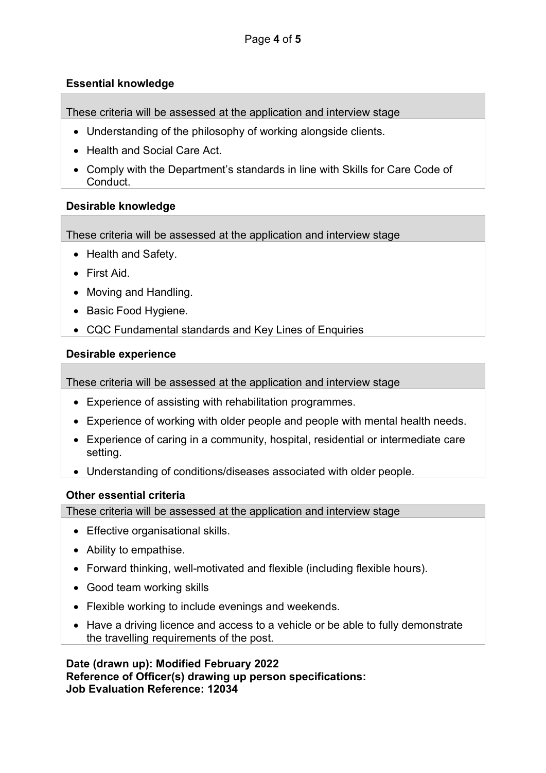# Essential knowledge

These criteria will be assessed at the application and interview stage

- Understanding of the philosophy of working alongside clients.
- Health and Social Care Act.
- Comply with the Department's standards in line with Skills for Care Code of Conduct.

# Desirable knowledge

These criteria will be assessed at the application and interview stage

- Health and Safety.
- First Aid
- Moving and Handling.
- Basic Food Hygiene.
- CQC Fundamental standards and Key Lines of Enquiries

# Desirable experience

These criteria will be assessed at the application and interview stage

- Experience of assisting with rehabilitation programmes.
- Experience of working with older people and people with mental health needs.
- Experience of caring in a community, hospital, residential or intermediate care setting.
- Understanding of conditions/diseases associated with older people.

# Other essential criteria

These criteria will be assessed at the application and interview stage

- Effective organisational skills.
- Ability to empathise.
- Forward thinking, well-motivated and flexible (including flexible hours).
- Good team working skills
- Flexible working to include evenings and weekends.
- Have a driving licence and access to a vehicle or be able to fully demonstrate the travelling requirements of the post.

Date (drawn up): Modified February 2022 Reference of Officer(s) drawing up person specifications: Job Evaluation Reference: 12034